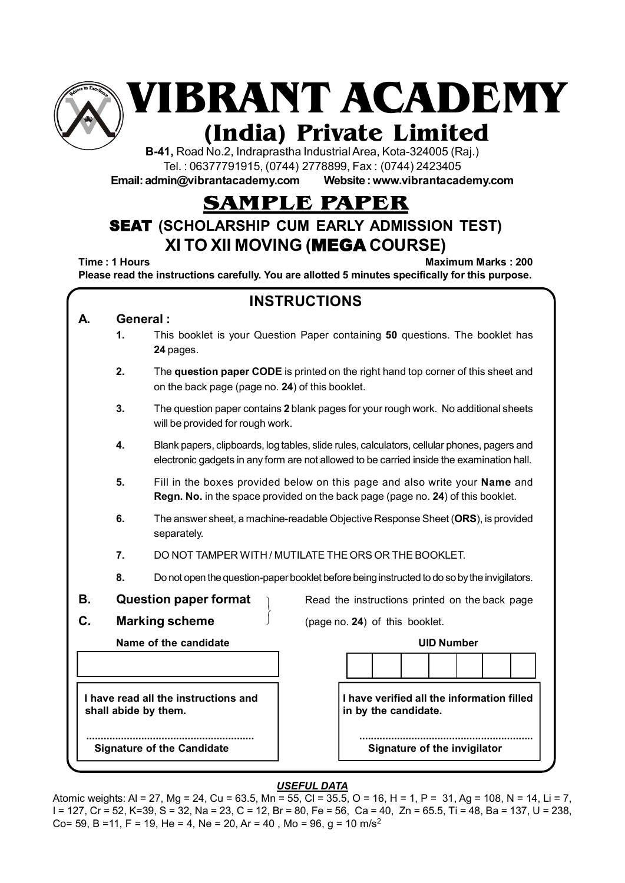

**VIBRANT ACADEMY**

# **(India) Private Limited**

**B-41,** Road No.2, Indraprastha Industrial Area, Kota-324005 (Raj.) Tel. : 06377791915, (0744) 2778899, Fax : (0744) 2423405

**Email: admin@vibrantacademy.com Website : www.vibrantacademy.com**

## **SAMPLE PAPER**

### SEAT **(SCHOLARSHIP CUM EARLY ADMISSION TEST) XI TO XII MOVING (**MEGA **COURSE)**

**Time : 1 Hours Maximum Marks : 200 Please read the instructions carefully. You are allotted 5 minutes specifically for this purpose.**

| <b>INSTRUCTIONS</b> |          |                                                                                                                                                                                          |  |  |  |  |  |  |  |  |  |  |
|---------------------|----------|------------------------------------------------------------------------------------------------------------------------------------------------------------------------------------------|--|--|--|--|--|--|--|--|--|--|
| А.                  | General: |                                                                                                                                                                                          |  |  |  |  |  |  |  |  |  |  |
|                     | 1.       | This booklet is your Question Paper containing 50 questions. The booklet has<br>24 pages.                                                                                                |  |  |  |  |  |  |  |  |  |  |
|                     | 2.       | The question paper CODE is printed on the right hand top corner of this sheet and<br>on the back page (page no. 24) of this booklet.                                                     |  |  |  |  |  |  |  |  |  |  |
|                     | 3.       | The question paper contains 2 blank pages for your rough work. No additional sheets<br>will be provided for rough work.                                                                  |  |  |  |  |  |  |  |  |  |  |
|                     | 4.       | Blank papers, clipboards, log tables, slide rules, calculators, cellular phones, pagers and<br>electronic gadgets in any form are not allowed to be carried inside the examination hall. |  |  |  |  |  |  |  |  |  |  |
|                     | 5.       | Fill in the boxes provided below on this page and also write your Name and<br>Regn. No. in the space provided on the back page (page no. 24) of this booklet.                            |  |  |  |  |  |  |  |  |  |  |
|                     | 6.       | The answer sheet, a machine-readable Objective Response Sheet (ORS), is provided<br>separately.                                                                                          |  |  |  |  |  |  |  |  |  |  |
|                     | 7.       | DO NOT TAMPER WITH / MUTILATE THE ORS OR THE BOOKLET.                                                                                                                                    |  |  |  |  |  |  |  |  |  |  |
|                     | 8.       | Do not open the question-paper booklet before being instructed to do so by the invigilators.                                                                                             |  |  |  |  |  |  |  |  |  |  |
| В.                  |          | <b>Question paper format</b><br>Read the instructions printed on the back page                                                                                                           |  |  |  |  |  |  |  |  |  |  |
| C.                  |          | <b>Marking scheme</b><br>(page no. 24) of this booklet.                                                                                                                                  |  |  |  |  |  |  |  |  |  |  |
|                     |          | Name of the candidate<br><b>UID Number</b>                                                                                                                                               |  |  |  |  |  |  |  |  |  |  |
|                     |          |                                                                                                                                                                                          |  |  |  |  |  |  |  |  |  |  |
|                     |          | I have verified all the information filled<br>I have read all the instructions and<br>shall abide by them.<br>in by the candidate.                                                       |  |  |  |  |  |  |  |  |  |  |
|                     |          | Signature of the invigilator<br><b>Signature of the Candidate</b>                                                                                                                        |  |  |  |  |  |  |  |  |  |  |

#### *USEFUL DATA*

Atomic weights: Al = 27, Mg = 24, Cu = 63.5, Mn = 55, Cl = 35.5, O = 16, H = 1, P = 31, Ag = 108, N = 14, Li = 7, I = 127, Cr = 52, K=39, S = 32, Na = 23, C = 12, Br = 80, Fe = 56, Ca = 40, Zn = 65.5, Ti = 48, Ba = 137, U = 238, Co= 59, B =11, F = 19, He = 4, Ne = 20, Ar = 40, Mo = 96, q = 10 m/s<sup>2</sup>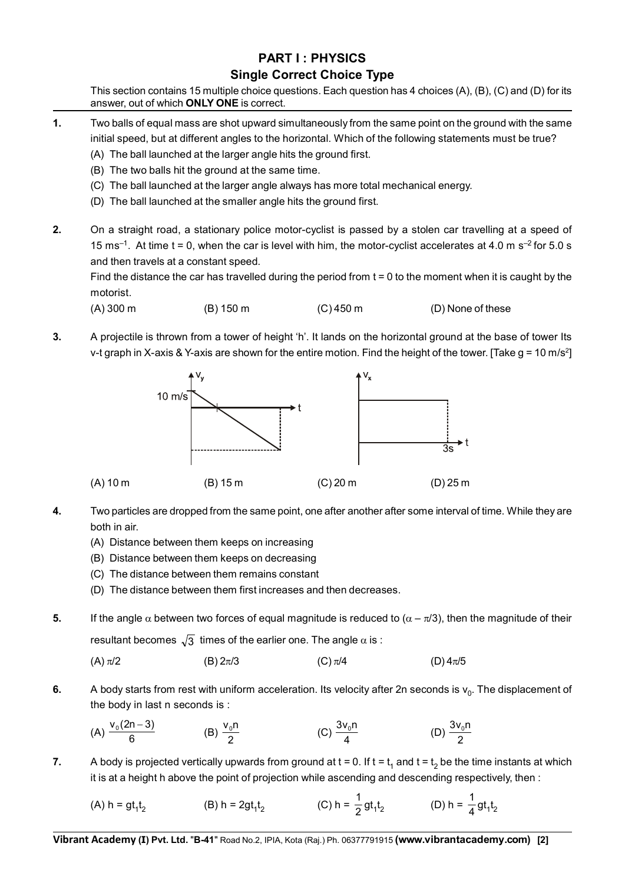#### **PART I : PHYSICS Single Correct Choice Type**

This section contains 15 multiple choice questions. Each question has 4 choices (A), (B), (C) and (D) for its answer, out of which **ONLY ONE** is correct.

- **1.** Two balls of equal mass are shot upward simultaneously from the same point on the ground with the same initial speed, but at different angles to the horizontal. Which of the following statements must be true?
	- (A) The ball launched at the larger angle hits the ground first.
	- (B) The two balls hit the ground at the same time.
	- (C) The ball launched at the larger angle always has more total mechanical energy.
	- (D) The ball launched at the smaller angle hits the ground first.
- **2.** On a straight road, a stationary police motor-cyclist is passed by a stolen car travelling at a speed of 15 ms<sup>-1</sup>. At time t = 0, when the car is level with him, the motor-cyclist accelerates at 4.0 m s<sup>-2</sup> for 5.0 s and then travels at a constant speed.

Find the distance the car has travelled during the period from  $t = 0$  to the moment when it is caught by the motorist.

(A) 300 m (B) 150 m (C) 450 m (D) None of these

**3.** A projectile is thrown from a tower of height 'h'. It lands on the horizontal ground at the base of tower Its v-t graph in X-axis & Y-axis are shown for the entire motion. Find the height of the tower. [Take  $g = 10$  m/s<sup>2</sup>]



- **4.** Two particles are dropped from the same point, one after another after some interval of time. While they are both in air.
	- (A) Distance between them keeps on increasing
	- (B) Distance between them keeps on decreasing
	- (C) The distance between them remains constant
	- (D) The distance between them first increases and then decreases.
- **5.** If the angle  $\alpha$  between two forces of equal magnitude is reduced to  $(\alpha \pi/3)$ , then the magnitude of their resultant becomes  $\sqrt{3}$  times of the earlier one. The angle  $\alpha$  is :

(A) 
$$
\pi/2
$$
 (B)  $2\pi/3$  (C)  $\pi/4$  (D)  $4\pi/5$ 

**6.** A body starts from rest with uniform acceleration. Its velocity after 2n seconds is  $v_0$ . The displacement of the body in last n seconds is :

(A) 
$$
\frac{v_0(2n-3)}{6}
$$
 (B)  $\frac{v_0n}{2}$  (C)  $\frac{3v_0n}{4}$  (D)  $\frac{3v_0n}{2}$ 

**7.** A body is projected vertically upwards from ground at  $t = 0$ . If  $t = t_1$  and  $t = t_2$  be the time instants at which it is at a height h above the point of projection while ascending and descending respectively, then :

 $(A)$  h =  $gt_1t_2$ 2 (B) h = 2gt<sub>1</sub>t<sub>2</sub> (C) h =  $\frac{1}{2}$ gt<sub>1</sub>t<sub>2</sub> (D) h =  $\frac{1}{4}$ gt<sub>1</sub>t<sub>2</sub>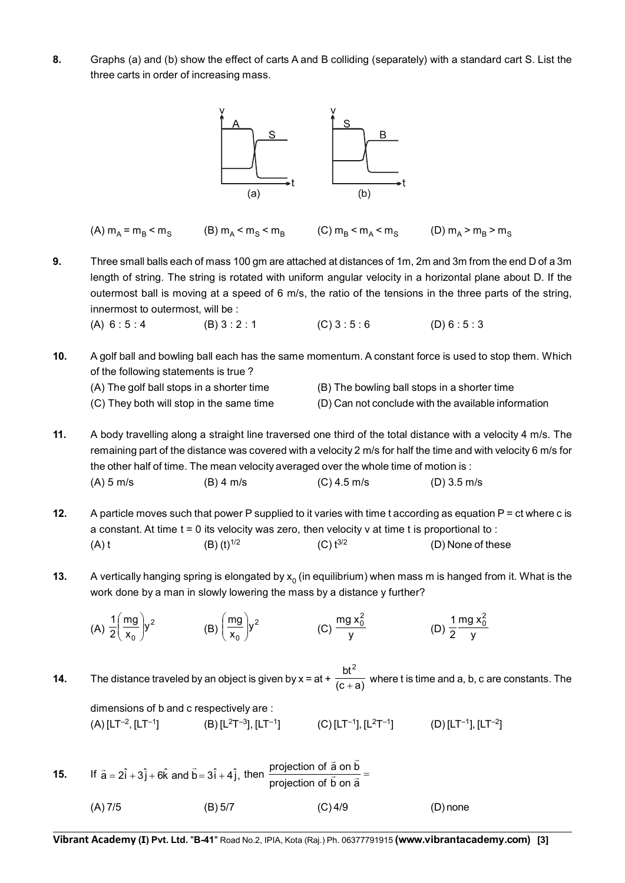**8.** Graphs (a) and (b) show the effect of carts A and B colliding (separately) with a standard cart S. List the three carts in order of increasing mass.



(A)  $m_A = m_B < m_S$  (B)  $m_A < m_S < m_B$  (C)  $m_B < m_A < m_S$  (D)  $m_A > m_B > m_S$ 

**9.** Three small balls each of mass 100 gm are attached at distances of 1m, 2m and 3m from the end D of a 3m length of string. The string is rotated with uniform angular velocity in a horizontal plane about D. If the outermost ball is moving at a speed of 6 m/s, the ratio of the tensions in the three parts of the string, innermost to outermost, will be :

(A)  $6:5:4$  (B)  $3:2:1$  (C)  $3:5:6$  (D)  $6:5:3$ 

- **10.** A golf ball and bowling ball each has the same momentum. A constant force is used to stop them. Which of the following statements is true ?
	-
	- (A) The golf ball stops in a shorter time (B) The bowling ball stops in a shorter time
	- (C) They both will stop in the same time (D) Can not conclude with the available information
- 

**11.** A body travelling along a straight line traversed one third of the total distance with a velocity 4 m/s. The remaining part of the distance was covered with a velocity 2 m/s for half the time and with velocity 6 m/s for the other half of time. The mean velocity averaged over the whole time of motion is : (A) 5 m/s (B) 4 m/s (C) 4.5 m/s (D) 3.5 m/s

- **12.** A particle moves such that power P supplied to it varies with time t according as equation P = ct where c is a constant. At time  $t = 0$  its velocity was zero, then velocity v at time t is proportional to : (A) t (B) (t)<sup>1/2</sup> (C) t<sup>3/2</sup> (D) None of these
- **13.** A vertically hanging spring is elongated by  $x_0$  (in equilibrium) when mass m is hanged from it. What is the work done by a man in slowly lowering the mass by a distance y further?

(A) 
$$
\frac{1}{2} \left( \frac{mg}{x_0} \right) y^2
$$
 \t(B)  $\left( \frac{mg}{x_0} \right) y^2$  \t(C)  $\frac{mg x_0^2}{y}$  \t(D)  $\frac{1}{2} \frac{mg x_0^2}{y}$ 

**14.** The distance traveled by an object is given by  $x = at + \frac{1}{(c+a)}$  $bt^2$  $\frac{1}{1}$  where t is time and a, b, c are constants. The

dimensions of b and c respectively are :

 $(A)$  [LT<sup>-2</sup>, [LT<sup>-1</sup>]  $(B)$  [L<sup>2</sup>T<sup>-3</sup>], [LT<sup>-1</sup>]  $(C)$  [LT<sup>-1</sup>], [L<sup>2</sup>T<sup>-1</sup>]  $(D)$  [LT<sup>-1</sup>], [LT<sup>-2</sup>]

**15.** If  $\vec{a} = 2\hat{i} + 3\hat{j} + 6\hat{k}$  and  $\vec{b} = 3\hat{i} + 4\hat{j}$ , then  $\frac{projection}{projection}$  of  $\vec{b}$  on  $\vec{a} =$  $\rightarrow$  r (A) 7/5 (B) 5/7 (C) 4/9 (D) none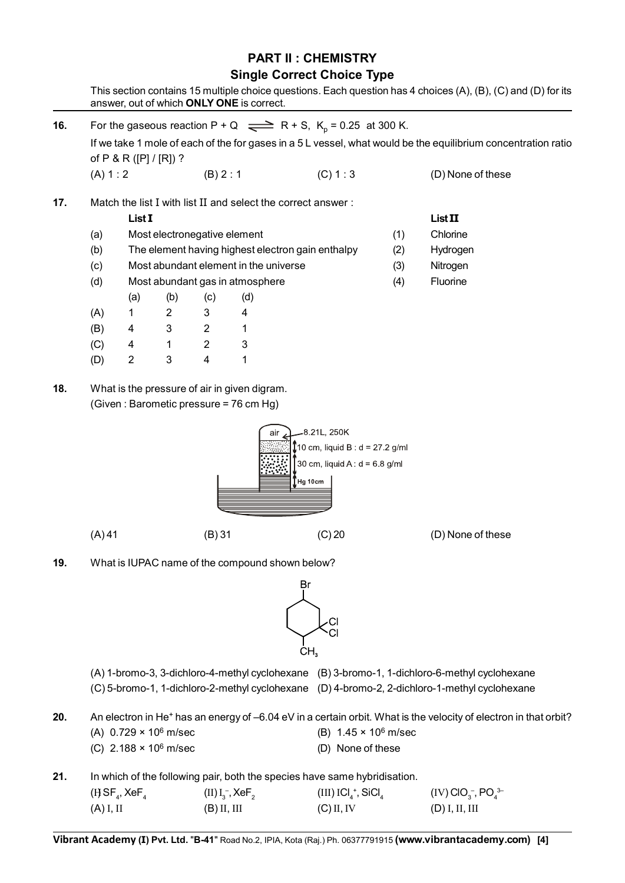#### **PART II : CHEMISTRY Single Correct Choice Type** This section contains 15 multiple choice questions. Each question has 4 choices (A), (B), (C) and (D) for its

answer, out of which **ONLY ONE** is correct.

| 16. | For the gaseous reaction P + Q $\implies$ R + S, K <sub>p</sub> = 0.25 at 300 K.<br>If we take 1 mole of each of the for gases in a 5 L vessel, what would be the equilibrium concentration ratio |                                                                |                |                                 |                                                 |                                                                                                                                        |                                                                                                                                                                                                |                                                                      |  |  |
|-----|---------------------------------------------------------------------------------------------------------------------------------------------------------------------------------------------------|----------------------------------------------------------------|----------------|---------------------------------|-------------------------------------------------|----------------------------------------------------------------------------------------------------------------------------------------|------------------------------------------------------------------------------------------------------------------------------------------------------------------------------------------------|----------------------------------------------------------------------|--|--|
|     | (A) 1: 2                                                                                                                                                                                          | of P & R ([P] / [R]) ?                                         |                | (B) 2 : 1                       |                                                 | (C) 1:3                                                                                                                                |                                                                                                                                                                                                | (D) None of these                                                    |  |  |
| 17. |                                                                                                                                                                                                   |                                                                |                |                                 |                                                 | Match the list I with list II and select the correct answer:                                                                           |                                                                                                                                                                                                |                                                                      |  |  |
|     |                                                                                                                                                                                                   | List I                                                         |                |                                 |                                                 |                                                                                                                                        |                                                                                                                                                                                                | <b>List II</b>                                                       |  |  |
|     | Most electronegative element<br>(a)                                                                                                                                                               |                                                                |                |                                 |                                                 |                                                                                                                                        | (1)                                                                                                                                                                                            | Chlorine                                                             |  |  |
|     | (b)                                                                                                                                                                                               |                                                                |                |                                 |                                                 | The element having highest electron gain enthalpy                                                                                      | (2)                                                                                                                                                                                            | Hydrogen                                                             |  |  |
|     | (c)                                                                                                                                                                                               |                                                                |                |                                 | Most abundant element in the universe           |                                                                                                                                        | (3)                                                                                                                                                                                            | Nitrogen                                                             |  |  |
|     | (d)                                                                                                                                                                                               | Most abundant gas in atmosphere                                |                |                                 |                                                 |                                                                                                                                        |                                                                                                                                                                                                | Fluorine                                                             |  |  |
|     |                                                                                                                                                                                                   | (a)                                                            | (b)            | (c)                             | (d)                                             |                                                                                                                                        | (4)                                                                                                                                                                                            |                                                                      |  |  |
|     | (A)                                                                                                                                                                                               | 1                                                              | $\overline{2}$ | 3                               | 4                                               |                                                                                                                                        |                                                                                                                                                                                                |                                                                      |  |  |
|     | (B)                                                                                                                                                                                               | 4                                                              | 3              | $\overline{2}$                  | 1                                               |                                                                                                                                        |                                                                                                                                                                                                |                                                                      |  |  |
|     | (C)                                                                                                                                                                                               | 4                                                              | 1              | $\overline{2}$                  | 3                                               |                                                                                                                                        |                                                                                                                                                                                                |                                                                      |  |  |
|     | (D)                                                                                                                                                                                               | $\overline{2}$                                                 | 3              | 4                               | 1                                               |                                                                                                                                        |                                                                                                                                                                                                |                                                                      |  |  |
|     | (A) 41                                                                                                                                                                                            |                                                                |                | (B) 31                          | air                                             | 8.21L, 250K<br>10 cm, liquid B : d = 27.2 g/ml<br>30 cm, liquid A : $d = 6.8$ g/ml<br>Hg 10cm<br>$(C)$ 20                              |                                                                                                                                                                                                | (D) None of these                                                    |  |  |
| 19. |                                                                                                                                                                                                   |                                                                |                |                                 | What is IUPAC name of the compound shown below? | Br.                                                                                                                                    |                                                                                                                                                                                                |                                                                      |  |  |
|     |                                                                                                                                                                                                   |                                                                |                |                                 |                                                 |                                                                                                                                        |                                                                                                                                                                                                |                                                                      |  |  |
|     |                                                                                                                                                                                                   |                                                                |                |                                 |                                                 |                                                                                                                                        | (A) 1-bromo-3, 3-dichloro-4-methyl cyclohexane (B) 3-bromo-1, 1-dichloro-6-methyl cyclohexane<br>(C) 5-bromo-1, 1-dichloro-2-methyl cyclohexane (D) 4-bromo-2, 2-dichloro-1-methyl cyclohexane |                                                                      |  |  |
| 20. |                                                                                                                                                                                                   | (A) $0.729 \times 10^6$ m/sec<br>(C) $2.188 \times 10^6$ m/sec |                |                                 |                                                 |                                                                                                                                        | An electron in He <sup>+</sup> has an energy of -6.04 eV in a certain orbit. What is the velocity of electron in that orbit?<br>(B) $1.45 \times 10^6$ m/sec<br>(D) None of these              |                                                                      |  |  |
| 21. |                                                                                                                                                                                                   | (HSF <sub>4</sub> , XeF <sub>4</sub> )                         |                | (II) $I_3^-$ , XeF <sub>2</sub> |                                                 | In which of the following pair, both the species have same hybridisation.<br>$(III)$ ICl <sub>4</sub> <sup>+</sup> , SiCl <sub>4</sub> |                                                                                                                                                                                                | $(IV)$ ClO <sub>3</sub> <sup>-</sup> , PO <sub>4</sub> <sup>3-</sup> |  |  |

(A) I, II (B) II, III (C) II, IV (D) I, II, III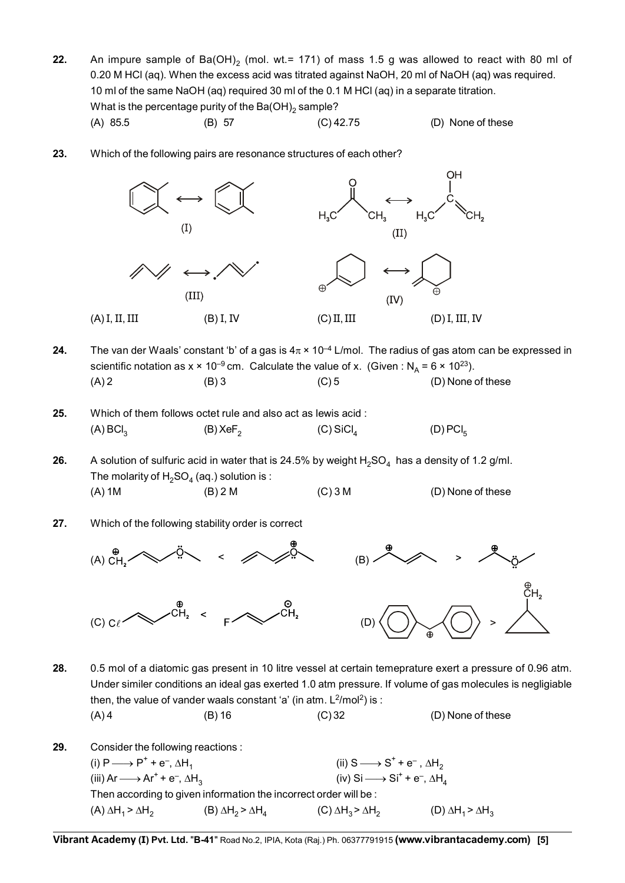**22.** An impure sample of Ba(OH)<sub>2</sub> (mol. wt.= 171) of mass 1.5 g was allowed to react with 80 ml of 0.20 M HCl (aq). When the excess acid was titrated against NaOH, 20 ml of NaOH (aq) was required. 10 ml of the same NaOH (aq) required 30 ml of the 0.1 M HCl (aq) in a separate titration. What is the percentage purity of the Ba(OH)<sub>2</sub> sample?

(A) 85.5 (B) 57 (C) 42.75 (D) None of these

**23.** Which of the following pairs are resonance structures of each other?



- **24.** The van der Waals' constant 'b' of a gas is  $4\pi \times 10^{-4}$  L/mol. The radius of gas atom can be expressed in scientific notation as  $x \times 10^{-9}$  cm. Calculate the value of x. (Given : N<sub>A</sub> = 6  $\times$  10<sup>23</sup>).  $(A)$  2 (B) 3 (C) 5 (D) None of these
- **25.** Which of them follows octet rule and also act as lewis acid : (A) BCl<sub>3</sub> (B) XeF<sub>2</sub> (C) SiCl<sub>4</sub> (D) PCl<sub>5</sub>
- **26.** A solution of sulfuric acid in water that is 24.5% by weight  $H_2SO_4$  has a density of 1.2 g/ml. The molarity of  $H_2SO_4$  (aq.) solution is :  $(A) 1M$  (B) 2 M (C) 3 M (D) None of these
- **27.** Which of the following stability order is correct



- **28.** 0.5 mol of a diatomic gas present in 10 litre vessel at certain temeprature exert a pressure of 0.96 atm. Under similer conditions an ideal gas exerted 1.0 atm pressure. If volume of gas molecules is negligiable then, the value of vander waals constant 'a' (in atm.  $L^2/mol^2$ ) is :  $(A)$  4 (B) 16 (C) 32 (D) None of these
- **29.** Consider the following reactions : (i)  $P \longrightarrow P^+ + e^-$ ,  $\Delta H_1$ (ii)  $S \longrightarrow S^+ + e^-$ ,  $\Delta H_2$ (iii) Ar  $\longrightarrow$  Ar<sup>+</sup> + e<sup>-</sup>,  $\Delta H_3$  (iv) Si  $\longrightarrow$  Si<sup>+</sup> + e<sup>-</sup>,  $\Delta H_4$ Then according to given information the incorrect order will be : (A)  $\Delta H_1 > \Delta H_2$  (B)  $\Delta H_2 > \Delta H_4$  (C)  $\Delta H_3 > \Delta H_2$  (D)  $\Delta H_1 > \Delta H_3$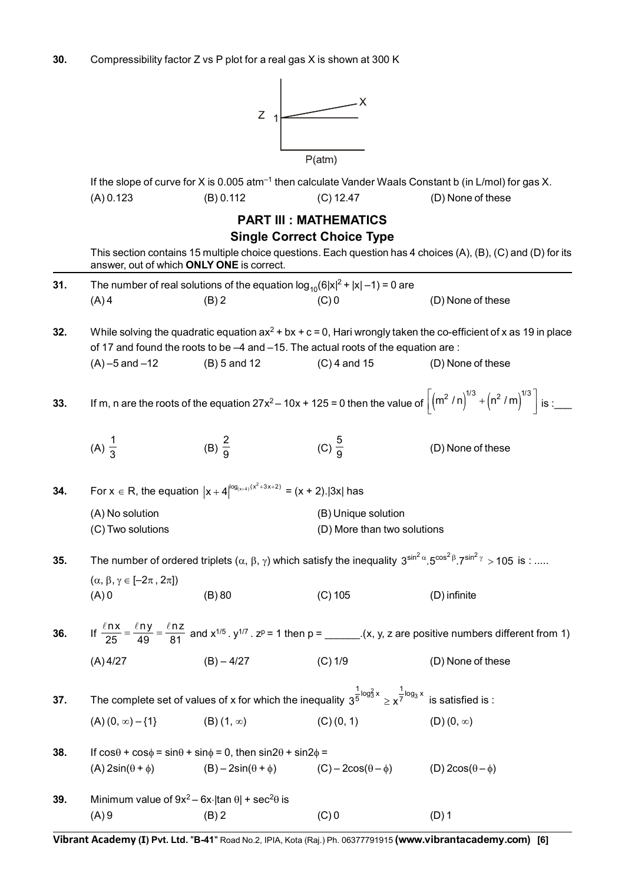

|     | If the slope of curve for X is 0.005 atm <sup>-1</sup> then calculate Vander Waals Constant b (in L/mol) for gas X. |                                                                                                                                    |                                                         |                                                                                                                                                                       |  |  |  |  |  |
|-----|---------------------------------------------------------------------------------------------------------------------|------------------------------------------------------------------------------------------------------------------------------------|---------------------------------------------------------|-----------------------------------------------------------------------------------------------------------------------------------------------------------------------|--|--|--|--|--|
|     | (A) 0.123                                                                                                           | (B) 0.112                                                                                                                          | $(C)$ 12.47                                             | (D) None of these                                                                                                                                                     |  |  |  |  |  |
|     |                                                                                                                     |                                                                                                                                    | <b>PART III : MATHEMATICS</b>                           |                                                                                                                                                                       |  |  |  |  |  |
|     |                                                                                                                     |                                                                                                                                    | <b>Single Correct Choice Type</b>                       |                                                                                                                                                                       |  |  |  |  |  |
|     |                                                                                                                     | answer, out of which ONLY ONE is correct.                                                                                          |                                                         | This section contains 15 multiple choice questions. Each question has 4 choices (A), (B), (C) and (D) for its                                                         |  |  |  |  |  |
| 31. |                                                                                                                     | The number of real solutions of the equation $log_{10}(6 x ^2 +  x  - 1) = 0$ are                                                  |                                                         |                                                                                                                                                                       |  |  |  |  |  |
|     | $(A)$ 4                                                                                                             | $(B)$ 2                                                                                                                            | $(C)$ 0                                                 | (D) None of these                                                                                                                                                     |  |  |  |  |  |
| 32. |                                                                                                                     | of 17 and found the roots to be -4 and -15. The actual roots of the equation are:                                                  |                                                         | While solving the quadratic equation $ax^2 + bx + c = 0$ , Hari wrongly taken the co-efficient of x as 19 in place                                                    |  |  |  |  |  |
|     | $(A) - 5$ and $-12$                                                                                                 | $(B)$ 5 and 12                                                                                                                     | $(C)$ 4 and 15                                          | (D) None of these                                                                                                                                                     |  |  |  |  |  |
| 33. |                                                                                                                     |                                                                                                                                    |                                                         | If m, n are the roots of the equation $27x^2 - 10x + 125 = 0$ then the value of $\left  \left( m^2 / n \right)^{1/3} + \left( n^2 / m \right)^{1/3} \right $ is :____ |  |  |  |  |  |
|     | (A) $\frac{1}{3}$                                                                                                   | (B) $\frac{2}{9}$                                                                                                                  | (C) $\frac{5}{9}$                                       | (D) None of these                                                                                                                                                     |  |  |  |  |  |
| 34. |                                                                                                                     | For $x \in R$ , the equation $ x + 4 ^{log_{(x+4)}(x^2+3x+2)} = (x + 2). 3x $ has                                                  |                                                         |                                                                                                                                                                       |  |  |  |  |  |
|     | (A) No solution<br>(C) Two solutions                                                                                |                                                                                                                                    | (B) Unique solution<br>(D) More than two solutions      |                                                                                                                                                                       |  |  |  |  |  |
| 35. |                                                                                                                     |                                                                                                                                    |                                                         | The number of ordered triplets $(\alpha, \beta, \gamma)$ which satisfy the inequality $3^{\sin^2 \alpha} . 5^{\cos^2 \beta} . 7^{\sin^2 \gamma} > 105$ is :           |  |  |  |  |  |
|     | $(\alpha, \beta, \gamma \in [-2\pi, 2\pi])$<br>$(A)$ 0                                                              | (B) 80                                                                                                                             | $(C)$ 105                                               | (D) infinite                                                                                                                                                          |  |  |  |  |  |
| 36. |                                                                                                                     |                                                                                                                                    |                                                         |                                                                                                                                                                       |  |  |  |  |  |
|     | $(A)$ 4/27                                                                                                          | $(B) - 4/27$                                                                                                                       | $(C)$ 1/9                                               | (D) None of these                                                                                                                                                     |  |  |  |  |  |
| 37. |                                                                                                                     | The complete set of values of x for which the inequality $3^{\frac{1}{5}\log_3^2 x} \ge x^{\frac{1}{7}\log_3 x}$ is satisfied is : |                                                         |                                                                                                                                                                       |  |  |  |  |  |
|     | $(A) (0, \infty) - \{1\}$                                                                                           | $(B)$ $(1, \infty)$                                                                                                                | (C) (0, 1)                                              | $(D)(0, \infty)$                                                                                                                                                      |  |  |  |  |  |
| 38. |                                                                                                                     | If $cos\theta$ + $cos\phi$ = $sin\theta$ + $sin\phi$ = 0, then $sin2\theta$ + $sin2\phi$ =                                         |                                                         |                                                                                                                                                                       |  |  |  |  |  |
|     | $(A)$ 2sin( $\theta$ + $\phi$ )                                                                                     | $(B) - 2\sin(\theta + \phi)$                                                                                                       | $(C) - 2\cos(\theta - \phi)$ (D) $2\cos(\theta - \phi)$ |                                                                                                                                                                       |  |  |  |  |  |
| 39. |                                                                                                                     | Minimum value of $9x^2 - 6x$   tan $\theta$   + sec <sup>2</sup> $\theta$ is                                                       |                                                         |                                                                                                                                                                       |  |  |  |  |  |

**Vibrant Academy (I) Pvt. Ltd.** "**B-41**" Road No.2, IPIA, Kota (Raj.) Ph. 06377791915 **(www.vibrantacademy.com) [6]**

 $(A) 9$  (B) 2 (C) 0 (D) 1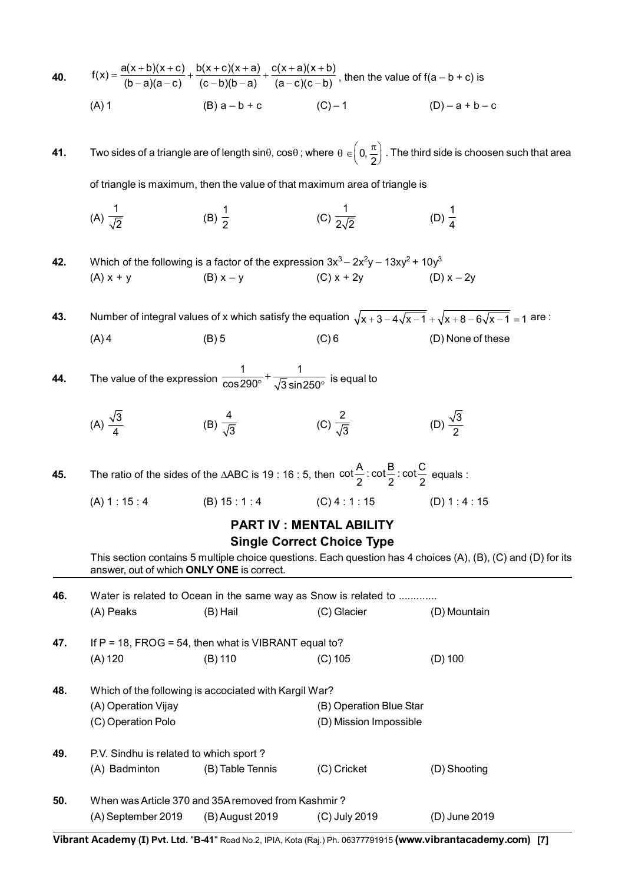| 40. |                                                                                                                                                      | $f(x) = \frac{a(x+b)(x+c)}{(b-a)(a-c)} + \frac{b(x+c)(x+a)}{(c-b)(b-a)} + \frac{c(x+a)(x+b)}{(a-c)(c-b)}$ , then the value of $f(a-b+c)$ is |                                                                                                                                          |                                                                                                                       |  |  |  |  |  |  |
|-----|------------------------------------------------------------------------------------------------------------------------------------------------------|---------------------------------------------------------------------------------------------------------------------------------------------|------------------------------------------------------------------------------------------------------------------------------------------|-----------------------------------------------------------------------------------------------------------------------|--|--|--|--|--|--|
|     | $(A)$ 1                                                                                                                                              | $(B) a - b + c$ $(C) - 1$                                                                                                                   |                                                                                                                                          | $(D) - a + b - c$                                                                                                     |  |  |  |  |  |  |
| 41. | Two sides of a triangle are of length sin $\theta$ , cos $\theta$ ; where $\theta \in (0, \frac{\pi}{2})$ . The third side is choosen such that area |                                                                                                                                             |                                                                                                                                          |                                                                                                                       |  |  |  |  |  |  |
|     | of triangle is maximum, then the value of that maximum area of triangle is                                                                           |                                                                                                                                             |                                                                                                                                          |                                                                                                                       |  |  |  |  |  |  |
|     | (A) $\frac{1}{\sqrt{2}}$                                                                                                                             | (B) $\frac{1}{2}$                                                                                                                           | (C) $\frac{1}{2\sqrt{2}}$                                                                                                                | (D) $\frac{1}{4}$                                                                                                     |  |  |  |  |  |  |
| 42. |                                                                                                                                                      |                                                                                                                                             | Which of the following is a factor of the expression $3x^3 - 2x^2y - 13xy^2 + 10y^3$                                                     |                                                                                                                       |  |  |  |  |  |  |
|     | $(A) x + y$                                                                                                                                          | $(B) x - y$                                                                                                                                 | $(C) x + 2y$ $(D) x - 2y$                                                                                                                |                                                                                                                       |  |  |  |  |  |  |
| 43. |                                                                                                                                                      |                                                                                                                                             |                                                                                                                                          | Number of integral values of x which satisfy the equation $\sqrt{x+3-4\sqrt{x-1}} + \sqrt{x+8-6\sqrt{x-1}} = 1$ are : |  |  |  |  |  |  |
|     | $(A)$ 4                                                                                                                                              | $(B)$ 5                                                                                                                                     | $(C)$ 6                                                                                                                                  | (D) None of these                                                                                                     |  |  |  |  |  |  |
| 44. |                                                                                                                                                      | The value of the expression $\frac{1}{\cos 290^\circ} + \frac{1}{\sqrt{3} \sin 250^\circ}$ is equal to                                      |                                                                                                                                          |                                                                                                                       |  |  |  |  |  |  |
|     | (A) $\frac{\sqrt{3}}{4}$                                                                                                                             | (B) $\frac{4}{\sqrt{3}}$ (C) $\frac{2}{\sqrt{3}}$                                                                                           |                                                                                                                                          | (D) $\frac{\sqrt{3}}{2}$                                                                                              |  |  |  |  |  |  |
| 45. |                                                                                                                                                      |                                                                                                                                             | The ratio of the sides of the $\triangle ABC$ is 19 : 16 : 5, then $\cot \frac{A}{2}$ : $\cot \frac{B}{2}$ : $\cot \frac{C}{2}$ equals : |                                                                                                                       |  |  |  |  |  |  |
|     |                                                                                                                                                      |                                                                                                                                             | $(A) 1 : 15 : 4$ $(B) 15 : 1 : 4$ $(C) 4 : 1 : 15$ $(D) 1 : 4 : 15$                                                                      |                                                                                                                       |  |  |  |  |  |  |
|     |                                                                                                                                                      |                                                                                                                                             | <b>PART IV: MENTAL ABILITY</b><br><b>Single Correct Choice Type</b>                                                                      |                                                                                                                       |  |  |  |  |  |  |
|     |                                                                                                                                                      | answer, out of which ONLY ONE is correct.                                                                                                   |                                                                                                                                          | This section contains 5 multiple choice questions. Each question has 4 choices (A), (B), (C) and (D) for its          |  |  |  |  |  |  |
| 46. |                                                                                                                                                      |                                                                                                                                             | Water is related to Ocean in the same way as Snow is related to                                                                          |                                                                                                                       |  |  |  |  |  |  |
|     | (A) Peaks                                                                                                                                            | (B) Hail                                                                                                                                    | (C) Glacier                                                                                                                              | (D) Mountain                                                                                                          |  |  |  |  |  |  |
| 47. | $(A)$ 120                                                                                                                                            | If $P = 18$ , FROG = 54, then what is VIBRANT equal to?<br>$(B)$ 110                                                                        | $(C)$ 105                                                                                                                                | $(D)$ 100                                                                                                             |  |  |  |  |  |  |
|     |                                                                                                                                                      |                                                                                                                                             |                                                                                                                                          |                                                                                                                       |  |  |  |  |  |  |
| 48. | (A) Operation Vijay<br>(C) Operation Polo                                                                                                            | Which of the following is accociated with Kargil War?                                                                                       | (B) Operation Blue Star<br>(D) Mission Impossible                                                                                        |                                                                                                                       |  |  |  |  |  |  |
| 49. | P.V. Sindhu is related to which sport?<br>(A) Badminton                                                                                              | (B) Table Tennis                                                                                                                            | (C) Cricket                                                                                                                              | (D) Shooting                                                                                                          |  |  |  |  |  |  |
| 50. |                                                                                                                                                      | When was Article 370 and 35A removed from Kashmir?                                                                                          |                                                                                                                                          |                                                                                                                       |  |  |  |  |  |  |
|     | (A) September 2019                                                                                                                                   | (B) August 2019                                                                                                                             | (C) July 2019                                                                                                                            | (D) June 2019                                                                                                         |  |  |  |  |  |  |

**Vibrant Academy (I) Pvt. Ltd.** "**B-41**" Road No.2, IPIA, Kota (Raj.) Ph. 06377791915 **(www.vibrantacademy.com) [7]**